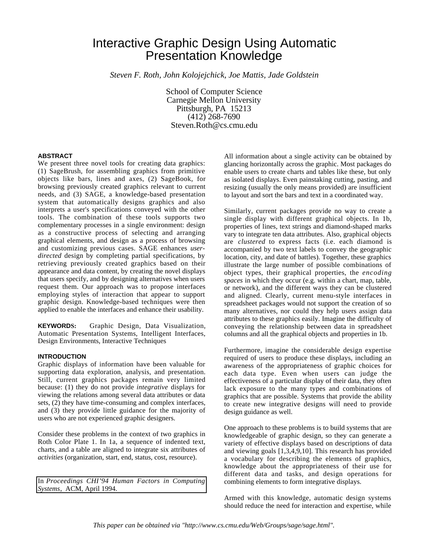# Interactive Graphic Design Using Automatic Presentation Knowledge

*Steven F. Roth, John Kolojejchick, Joe Mattis, Jade Goldstein*

School of Computer Science Carnegie Mellon University Pittsburgh, PA 15213  $(412)$  268-7690 Steven.Roth@cs.cmu.edu

### **ABSTRACT**

We present three novel tools for creating data graphics: (1) SageBrush, for assembling graphics from primitive objects like bars, lines and axes, (2) SageBook, for browsing previously created graphics relevant to current needs, and (3) SAGE, a knowledge-based presentation system that automatically designs graphics and also interprets a user's specifications conveyed with the other tools. The combination of these tools supports two complementary processes in a single environment: design as a constructive process of selecting and arranging graphical elements, and design as a process of browsing and customizing previous cases. SAGE enhances *userdirected* design by completing partial specifications, by retrieving previously created graphics based on their appearance and data content, by creating the novel displays that users specify, and by designing alternatives when users request them. Our approach was to propose interfaces employing styles of interaction that appear to support graphic design. Knowledge-based techniques were then applied to enable the interfaces and enhance their usability.

**KEYWORDS:** Graphic Design, Data Visualization, Automatic Presentation Systems, Intelligent Interfaces, Design Environments, Interactive Techniques

#### **INTRODUCTION**

Graphic displays of information have been valuable for supporting data exploration, analysis, and presentation. Still, current graphics packages remain very limited because: (1) they do not provide *integrative* displays for viewing the relations among several data attributes or data sets, (2) they have time-consuming and complex interfaces, and (3) they provide little guidance for the majority of users who are not experienced graphic designers.

Consider these problems in the context of two graphics in Roth Color Plate 1. In 1a, a sequence of indented text, charts, and a table are aligned to integrate six attributes of *activities* (organization, start, end, status, cost, resource).

In *Proceedings CHI'94 Human Factors in Computing Systems*, ACM, April 1994.

All information about a single activity can be obtained by glancing horizontally across the graphic. Most packages do enable users to create charts and tables like these, but only as isolated displays. Even painstaking cutting, pasting, and resizing (usually the only means provided) are insufficient to layout and sort the bars and text in a coordinated way.

Similarly, current packages provide no way to create a single display with different graphical objects. In 1b, properties of lines, text strings and diamond-shaped marks vary to integrate ten data attributes. Also, graphical objects are *clustered* to express facts (i.e. each diamond is accompanied by two text labels to convey the geographic location, city, and date of battles). Together, these graphics illustrate the large number of possible combinations of object types, their graphical properties, the *encoding spaces* in which they occur (e.g. within a chart, map, table, or network), and the different ways they can be clustered and aligned. Clearly, current menu-style interfaces in spreadsheet packages would not support the creation of so many alternatives, nor could they help users assign data attributes to these graphics easily. Imagine the difficulty of conveying the relationship between data in spreadsheet columns and all the graphical objects and properties in 1b.

Furthermore, imagine the considerable design expertise required of users to produce these displays, including an awareness of the appropriateness of graphic choices for each data type. Even when users can judge the effectiveness of a particular display of their data, they often lack exposure to the many types and combinations of graphics that are possible. Systems that provide the ability to create new integrative designs will need to provide design guidance as well.

One approach to these problems is to build systems that are knowledgeable of graphic design, so they can generate a variety of effective displays based on descriptions of data and viewing goals [1,3,4,9,10]. This research has provided a vocabulary for describing the elements of graphics, knowledge about the appropriateness of their use for different data and tasks, and design operations for combining elements to form integrative displays.

Armed with this knowledge, automatic design systems should reduce the need for interaction and expertise, while

*This paper can be obtained via "http://www.cs.cmu.edu/Web/Groups/sage/sage.html".*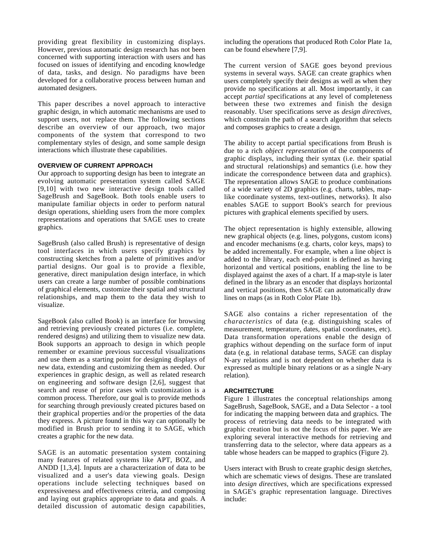providing great flexibility in customizing displays. However, previous automatic design research has not been concerned with supporting interaction with users and has focused on issues of identifying and encoding knowledge of data, tasks, and design. No paradigms have been developed for a collaborative process between human and automated designers.

This paper describes a novel approach to interactive graphic design, in which automatic mechanisms are used to support users, not replace them. The following sections describe an overview of our approach, two major components of the system that correspond to two complementary styles of design, and some sample design interactions which illustrate these capabilities.

#### **OVERVIEW OF CURRENT APPROACH**

Our approach to supporting design has been to integrate an evolving automatic presentation system called SAGE [9,10] with two new interactive design tools called SageBrush and SageBook. Both tools enable users to manipulate familiar objects in order to perform natural design operations, shielding users from the more complex representations and operations that SAGE uses to create graphics.

SageBrush (also called Brush) is representative of design tool interfaces in which users specify graphics by constructing sketches from a palette of primitives and/or partial designs. Our goal is to provide a flexible, generative, direct manipulation design interface, in which users can create a large number of possible combinations of graphical elements, customize their spatial and structural relationships, and map them to the data they wish to visualize.

SageBook (also called Book) is an interface for browsing and retrieving previously created pictures (i.e. complete, rendered designs) and utilizing them to visualize new data. Book supports an approach to design in which people remember or examine previous successful visualizations and use them as a starting point for designing displays of new data, extending and customizing them as needed. Our experiences in graphic design, as well as related research on engineering and software design [2,6], suggest that search and reuse of prior cases with customization is a common process. Therefore, our goal is to provide methods for searching through previously created pictures based on their graphical properties and/or the properties of the data they express. A picture found in this way can optionally be modified in Brush prior to sending it to SAGE, which creates a graphic for the new data.

SAGE is an automatic presentation system containing many features of related systems like APT, BOZ, and ANDD [1,3,4]. Inputs are a characterization of data to be visualized and a user's data viewing goals. Design operations include selecting techniques based on expressiveness and effectiveness criteria, and composing and laying out graphics appropriate to data and goals. A detailed discussion of automatic design capabilities,

including the operations that produced Roth Color Plate 1a, can be found elsewhere [7,9].

The current version of SAGE goes beyond previous systems in several ways. SAGE can create graphics when users completely specify their designs as well as when they provide no specifications at all. Most importantly, it can accept *partial* specifications at any level of completeness between these two extremes and finish the design reasonably. User specifications serve as *design directives,* which constrain the path of a search algorithm that selects and composes graphics to create a design.

The ability to accept partial specifications from Brush is due to a rich *object representation* of the components of graphic displays, including their syntax (i.e. their spatial and structural relationships) and semantics (i.e. how they indicate the correspondence between data and graphics). The representation allows SAGE to produce combinations of a wide variety of 2D graphics (e.g. charts, tables, maplike coordinate systems, text-outlines, networks). It also enables SAGE to support Book's search for previous pictures with graphical elements specified by users.

The object representation is highly extensible, allowing new graphical objects (e.g. lines, polygons, custom icons) and encoder mechanisms (e.g. charts, color keys, maps) to be added incrementally. For example, when a line object is added to the library, each end-point is defined as having horizontal and vertical positions, enabling the line to be displayed against the axes of a chart. If a map-style is later defined in the library as an encoder that displays horizontal and vertical positions, then SAGE can automatically draw lines on maps (as in Roth Color Plate 1b).

SAGE also contains a richer representation of the *characteristics* of data (e.g. distinguishing scales of measurement, temperature, dates, spatial coordinates, etc). Data transformation operations enable the design of graphics without depending on the surface form of input data (e.g. in relational database terms, SAGE can display N-ary relations and is not dependent on whether data is expressed as multiple binary relations or as a single N-ary relation).

#### **ARCHITECTURE**

Figure 1 illustrates the conceptual relationships among SageBrush, SageBook, SAGE, and a Data Selector - a tool for indicating the mapping between data and graphics. The process of retrieving data needs to be integrated with graphic creation but is not the focus of this paper. We are exploring several interactive methods for retrieving and transferring data to the selector, where data appears as a table whose headers can be mapped to graphics (Figure 2).

Users interact with Brush to create graphic design *sketches,* which are schematic views of designs. These are translated into *design directives,* which are specifications expressed in SAGE's graphic representation language. Directives include: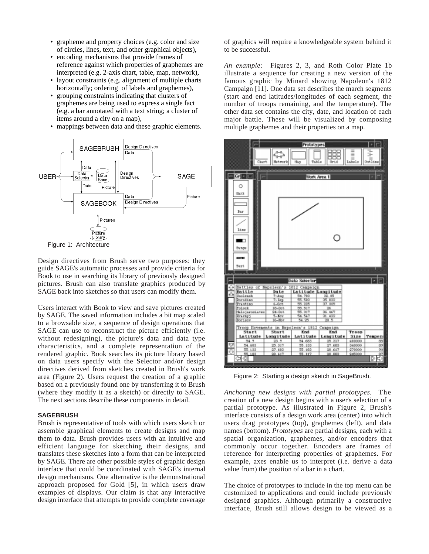- grapheme and property choices (e.g. color and size of circles, lines, text, and other graphical objects),
- encoding mechanisms that provide frames of reference against which properties of graphemes are interpreted (e.g. 2-axis chart, table, map, network),
- layout constraints (e.g. alignment of multiple charts horizontally; ordering of labels and graphemes),
- grouping constraints indicating that clusters of graphemes are being used to express a single fact (e.g. a bar annotated with a text string; a cluster of items around a city on a map),
- mappings between data and these graphic elements.



Design directives from Brush serve two purposes: they guide SAGE's automatic processes and provide criteria for Book to use in searching its library of previously designed pictures. Brush can also translate graphics produced by SAGE back into sketches so that users can modify them.

Users interact with Book to view and save pictures created by SAGE. The saved information includes a bit map scaled to a browsable size, a sequence of design operations that SAGE can use to reconstruct the picture efficiently (i.e. without redesigning), the picture's data and data type characteristics, and a complete representation of the rendered graphic. Book searches its picture library based on data users specify with the Selector and/or design directives derived from sketches created in Brush's work area (Figure 2). Users request the creation of a graphic based on a previously found one by transferring it to Brush (where they modify it as a sketch) or directly to SAGE. The next sections describe these components in detail.

#### **SAGEBRUSH**

Brush is representative of tools with which users sketch or assemble graphical elements to create designs and map them to data. Brush provides users with an intuitive and efficient language for sketching their designs, and translates these sketches into a form that can be interpreted by SAGE. There are other possible styles of graphic design interface that could be coordinated with SAGE's internal design mechanisms. One alternative is the demonstrational approach proposed for Gold [5], in which users draw examples of displays. Our claim is that any interactive design interface that attempts to provide complete coverage

of graphics will require a knowledgeable system behind it to be successful.

*An example:* Figures 2, 3, and Roth Color Plate 1b illustrate a sequence for creating a new version of the famous graphic by Minard showing Napoleon's 1812 Campaign [11]. One data set describes the march segments (start and end latitudes/longitudes of each segment, the number of troops remaining, and the temperature). The other data set contains the city, date, and location of each major battle. These will be visualized by composing multiple graphemes and their properties on a map.



Figure 2: Starting a design sketch in SageBrush.

*Anchoring new designs with partial prototypes.* The creation of a new design begins with a user's selection of a partial prototype. As illustrated in Figure 2, Brush's interface consists of a design work area (center) into which users drag prototypes (top), graphemes (left), and data names (bottom). *Prototypes* are partial designs, each with a spatial organization, graphemes, and/or encoders that commonly occur together. Encoders are frames of reference for interpreting properties of graphemes. For example, axes enable us to interpret (i.e. derive a data value from) the position of a bar in a chart.

The choice of prototypes to include in the top menu can be customized to applications and could include previously designed graphics. Although primarily a constructive interface, Brush still allows design to be viewed as a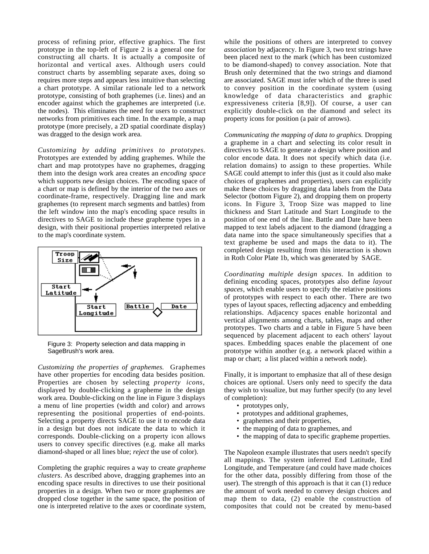process of refining prior, effective graphics. The first prototype in the top-left of Figure 2 is a general one for constructing all charts. It is actually a composite of horizontal and vertical axes. Although users could construct charts by assembling separate axes, doing so requires more steps and appears less intuitive than selecting a chart prototype. A similar rationale led to a network prototype, consisting of both graphemes (i.e. lines) and an encoder against which the graphemes are interpreted (i.e. the nodes). This eliminates the need for users to construct networks from primitives each time. In the example, a map prototype (more precisely, a 2D spatial coordinate display) was dragged to the design work area.

*Customizing by adding primitives to prototypes.* Prototypes are extended by adding graphemes. While the chart and map prototypes have no graphemes, dragging them into the design work area creates an *encoding space* which supports new design choices. The encoding space of a chart or map is defined by the interior of the two axes or coordinate-frame, respectively. Dragging line and mark graphemes (to represent march segments and battles) from the left window into the map's encoding space results in directives to SAGE to include these grapheme types in a design, with their positional properties interpreted relative to the map's coordinate system.



Figure 3: Property selection and data mapping in SageBrush's work area.

*Customizing the properties of graphemes.* Graphemes have other properties for encoding data besides position. Properties are chosen by selecting *property icons,* displayed by double-clicking a grapheme in the design work area. Double-clicking on the line in Figure 3 displays a menu of line properties (width and color) and arrows representing the positional properties of end-points. Selecting a property directs SAGE to use it to encode data in a design but does not indicate the data to which it corresponds. Double-clicking on a property icon allows users to convey specific directives (e.g. make all marks diamond-shaped or all lines blue; *reject* the use of color).

Completing the graphic requires a way to create *grapheme clusters*. As described above, dragging graphemes into an encoding space results in directives to use their positional properties in a design. When two or more graphemes are dropped close together in the same space, the position of one is interpreted relative to the axes or coordinate system,

while the positions of others are interpreted to convey *association* by adjacency. In Figure 3, two text strings have been placed next to the mark (which has been customized to be diamond-shaped) to convey association. Note that Brush only determined that the two strings and diamond are associated. SAGE must infer which of the three is used to convey position in the coordinate system (using knowledge of data characteristics and graphic expressiveness criteria [8,9]). Of course, a user can explicitly double-click on the diamond and select its property icons for position (a pair of arrows).

*Communicating the mapping of data to graphics.* Dropping a grapheme in a chart and selecting its color result in directives to SAGE to generate a design where position and color encode data. It does not specify which data (i.e. relation domains) to assign to these properties. While SAGE could attempt to infer this (just as it could also make choices of graphemes and properties), users can explicitly make these choices by dragging data labels from the Data Selector (bottom Figure 2), and dropping them on property icons. In Figure 3, Troop Size was mapped to line thickness and Start Latitude and Start Longitude to the position of one end of the line. Battle and Date have been mapped to text labels adjacent to the diamond (dragging a data name into the space simultaneously specifies that a text grapheme be used and maps the data to it). The completed design resulting from this interaction is shown in Roth Color Plate 1b, which was generated by SAGE.

*Coordinating multiple design spaces.* In addition to defining encoding spaces, prototypes also define *layout spaces*, which enable users to specify the relative positions of prototypes with respect to each other. There are two types of layout spaces, reflecting adjacency and embedding relationships. Adjacency spaces enable horizontal and vertical alignments among charts, tables, maps and other prototypes. Two charts and a table in Figure 5 have been sequenced by placement adjacent to each others' layout spaces. Embedding spaces enable the placement of one prototype within another (e.g. a network placed within a map or chart; a list placed within a network node).

Finally, it is important to emphasize that all of these design choices are optional. Users only need to specify the data they wish to visualize, but may further specify (to any level of completion):

- prototypes only,
- prototypes and additional graphemes,
- graphemes and their properties,
- the mapping of data to graphemes, and
- the mapping of data to specific grapheme properties.

The Napoleon example illustrates that users needn't specify all mappings. The system inferred End Latitude, End Longitude, and Temperature (and could have made choices for the other data, possibly differing from those of the user). The strength of this approach is that it can (1) reduce the amount of work needed to convey design choices and map them to data, (2) enable the construction of composites that could not be created by menu-based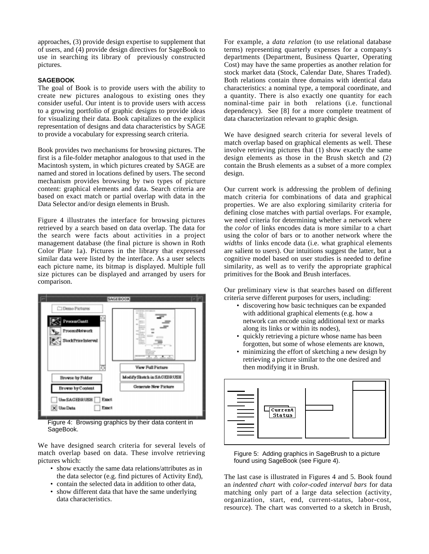approaches, (3) provide design expertise to supplement that of users, and (4) provide design directives for SageBook to use in searching its library of previously constructed pictures.

### **SAGEBOOK**

The goal of Book is to provide users with the ability to create new pictures analogous to existing ones they consider useful. Our intent is to provide users with access to a growing portfolio of graphic designs to provide ideas for visualizing their data. Book capitalizes on the explicit representation of designs and data characteristics by SAGE to provide a vocabulary for expressing search criteria.

Book provides two mechanisms for browsing pictures. The first is a file-folder metaphor analogous to that used in the Macintosh system, in which pictures created by SAGE are named and stored in locations defined by users. The second mechanism provides browsing by two types of picture content: graphical elements and data. Search criteria are based on exact match or partial overlap with data in the Data Selector and/or design elements in Brush.

Figure 4 illustrates the interface for browsing pictures retrieved by a search based on data overlap. The data for the search were facts about activities in a project management database (the final picture is shown in Roth Color Plate 1a). Pictures in the library that expressed similar data were listed by the interface. As a user selects each picture name, its bitmap is displayed. Multiple full size pictures can be displayed and arranged by users for comparison.



Figure 4: Browsing graphics by their data content in SageBook.

We have designed search criteria for several levels of match overlap based on data. These involve retrieving pictures which:

- show exactly the same data relations/attributes as in the data selector (e.g. find pictures of Activity End),
- contain the selected data in addition to other data,
- show different data that have the same underlying data characteristics.

For example, a *data relation* (to use relational database terms) representing quarterly expenses for a company's departments (Department, Business Quarter, Operating Cost) may have the same properties as another relation for stock market data (Stock, Calendar Date, Shares Traded). Both relations contain three domains with identical data characteristics: a nominal type, a temporal coordinate, and a quantity. There is also exactly one quantity for each nominal-time pair in both relations (i.e. functional dependency). See [8] for a more complete treatment of data characterization relevant to graphic design.

We have designed search criteria for several levels of match overlap based on graphical elements as well. These involve retrieving pictures that (1) show exactly the same design elements as those in the Brush sketch and (2) contain the Brush elements as a subset of a more complex design.

Our current work is addressing the problem of defining match criteria for combinations of data and graphical properties. We are also exploring similarity criteria for defining close matches with partial overlaps. For example, we need criteria for determining whether a network where the *color* of links encodes data is more similar to a chart using the color of bars or to another network where the *widths* of links encode data (i.e. what graphical elements are salient to users). Our intuitions suggest the latter, but a cognitive model based on user studies is needed to define similarity, as well as to verify the appropriate graphical primitives for the Book and Brush interfaces.

Our preliminary view is that searches based on different criteria serve different purposes for users, including:

- discovering how basic techniques can be expanded with additional graphical elements (e.g. how a network can encode using additional text or marks along its links or within its nodes),
- quickly retrieving a picture whose name has been forgotten, but some of whose elements are known,
- minimizing the effort of sketching a new design by retrieving a picture similar to the one desired and then modifying it in Brush.



Figure 5: Adding graphics in SageBrush to a picture found using SageBook (see Figure 4).

The last case is illustrated in Figures 4 and 5. Book found an *indented chart* with *color-coded interval bars* for data matching only part of a large data selection (activity, organization, start, end, current-status, labor-cost, resource). The chart was converted to a sketch in Brush,